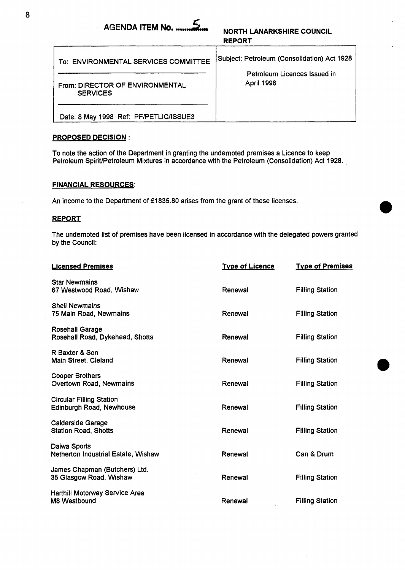|        | NORTH LANARKSHIRE COUNCIL |  |
|--------|---------------------------|--|
| REPORT |                           |  |

| NEFVNI                                             |                                                                                           |  |
|----------------------------------------------------|-------------------------------------------------------------------------------------------|--|
| To: ENVIRONMENTAL SERVICES COMMITTEE               | Subject: Petroleum (Consolidation) Act 1928<br>Petroleum Licences Issued in<br>April 1998 |  |
| From: DIRECTOR OF ENVIRONMENTAL<br><b>SERVICES</b> |                                                                                           |  |
| Date: 8 May 1998 Ref: PF/PETLIC/ISSUE3             |                                                                                           |  |

## PROPOSED DECISION :

To note the action of the Department in granting the undernoted premises a Licence to keep Petroleum SpiriVPetroleum Mixtures in accordance with the Petroleum (Consolidation) Act 1928.

## FINANCIAL RESOURCES:

An income to the Department of £1835.80 arises from the grant of these licenses.

## REPORT

The undernoted list of premises have been licensed in accordance with the delegated powers granted by the Council:

| <b>Licensed Premises</b>                                    | <b>Type of Licence</b> | <b>Type of Premises</b> |
|-------------------------------------------------------------|------------------------|-------------------------|
| <b>Star Newmains</b><br>67 Westwood Road, Wishaw            | Renewal                | <b>Filling Station</b>  |
| <b>Shell Newmains</b><br>75 Main Road, Newmains             | Renewal                | <b>Filling Station</b>  |
| <b>Rosehall Garage</b><br>Rosehall Road, Dykehead, Shotts   | Renewal                | <b>Filling Station</b>  |
| R Baxter & Son<br>Main Street, Cleland                      | Renewal                | <b>Filling Station</b>  |
| <b>Cooper Brothers</b><br>Overtown Road, Newmains           | Renewal                | <b>Filling Station</b>  |
| <b>Circular Filling Station</b><br>Edinburgh Road, Newhouse | Renewal                | <b>Filling Station</b>  |
| <b>Calderside Garage</b><br><b>Station Road, Shotts</b>     | Renewal                | <b>Filling Station</b>  |
| Daiwa Sports<br>Netherton Industrial Estate, Wishaw         | Renewal                | Can & Drum              |
| James Chapman (Butchers) Ltd.<br>35 Glasgow Road, Wishaw    | Renewal                | <b>Filling Station</b>  |
| Harthill Motorway Service Area<br>M8 Westbound              | Renewal                | <b>Filling Station</b>  |